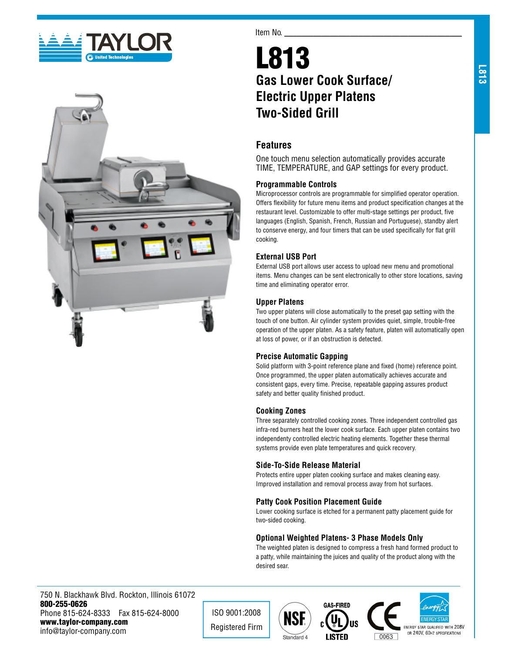



#### Item No.

# L813 **Gas Lower Cook Surface/ Electric Upper Platens Two-Sided Grill**

# **Features**

One touch menu selection automatically provides accurate TIME, TEMPERATURE, and GAP settings for every product.

#### **Programmable Controls**

Microprocessor controls are programmable for simplified operator operation. Offers flexibility for future menu items and product specification changes at the restaurant level. Customizable to offer multi-stage settings per product, five languages (English, Spanish, French, Russian and Portuguese), standby alert to conserve energy, and four timers that can be used specifically for flat grill cooking.

## **External USB Port**

External USB port allows user access to upload new menu and promotional items. Menu changes can be sent electronically to other store locations, saving time and eliminating operator error.

#### **Upper Platens**

Two upper platens will close automatically to the preset gap setting with the touch of one button. Air cylinder system provides quiet, simple, trouble-free operation of the upper platen. As a safety feature, platen will automatically open at loss of power, or if an obstruction is detected.

## **Precise Automatic Gapping**

Solid platform with 3-point reference plane and fixed (home) reference point. Once programmed, the upper platen automatically achieves accurate and consistent gaps, every time. Precise, repeatable gapping assures product safety and better quality finished product.

#### **Cooking Zones**

Three separately controlled cooking zones. Three independent controlled gas infra-red burners heat the lower cook surface. Each upper platen contains two independenty controlled electric heating elements. Together these thermal systems provide even plate temperatures and quick recovery.

#### **Side-To-Side Release Material**

Protects entire upper platen cooking surface and makes cleaning easy. Improved installation and removal process away from hot surfaces.

## **Patty Cook Position Placement Guide**

Lower cooking surface is etched for a permanent patty placement guide for two-sided cooking.

## **Optional Weighted Platens- 3 Phase Models Only**

The weighted platen is designed to compress a fresh hand formed product to a patty, while maintaining the juices and quality of the product along with the desired sear.

750 N. Blackhawk Blvd. Rockton, Illinois 61072 800-255-0626 Phone 815-624-8333 Fax 815-624-8000 www.taylor-company.com info@taylor-company.com

ISO 9001:2008 Registered Firm